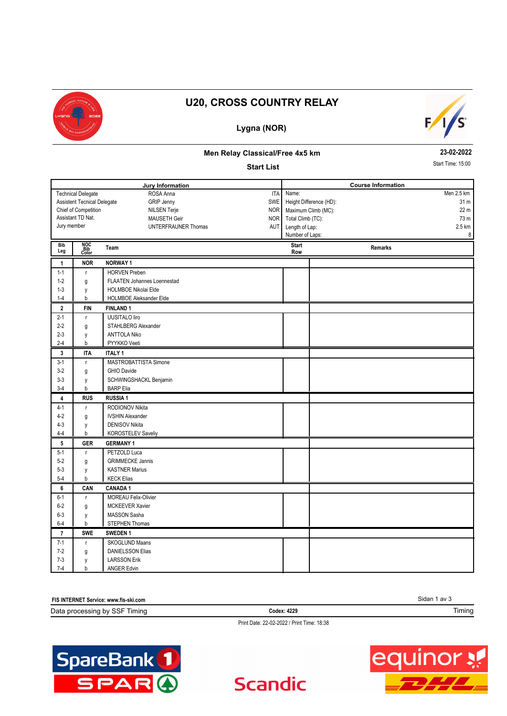

# **U20, CROSS COUNTRY RELAY**

### **Lygna (NOR)**



#### **Men Relay Classical/Free 4x5 km**

#### **Start List**

**23-02-2022** Start Time: 15:00

|                                                    |                                    | <b>Jury Information</b>            |                     | <b>Course Information</b> |                 |
|----------------------------------------------------|------------------------------------|------------------------------------|---------------------|---------------------------|-----------------|
|                                                    | <b>Technical Delegate</b>          | ROSA Anna<br><b>ITA</b>            | Name:               |                           | Men 2.5 km      |
|                                                    | <b>Assistent Tecnical Delegate</b> | <b>GRIP Jenny</b><br>SWE           |                     | Height Difference (HD):   | 31 <sub>m</sub> |
| Chief of Competition<br><b>NILSEN Terje</b><br>NOR |                                    |                                    |                     | Maximum Climb (MC):       | 22 <sub>m</sub> |
|                                                    | Assistant TD Nat.                  | NOR<br>MAUSETH Geir                |                     | Total Climb (TC):         | 73 m            |
| Jury member                                        |                                    | <b>UNTERFRAUNER Thomas</b><br>AUT  | Length of Lap:      |                           | 2.5 km          |
|                                                    |                                    |                                    |                     | Number of Laps:           | 8               |
| Bib<br>Leg                                         | NOC<br>Bib<br>Color                | Team                               | <b>Start</b><br>Row | Remarks                   |                 |
| $\mathbf{1}$                                       | <b>NOR</b>                         | <b>NORWAY1</b>                     |                     |                           |                 |
| $1 - 1$                                            | r.                                 | <b>HORVEN Preben</b>               |                     |                           |                 |
| $1 - 2$                                            | g                                  | <b>FLAATEN Johannes Loennestad</b> |                     |                           |                 |
| $1 - 3$                                            | y                                  | <b>HOLMBOE Nikolai Elde</b>        |                     |                           |                 |
| $1 - 4$                                            | b                                  | <b>HOLMBOE Aleksander Elde</b>     |                     |                           |                 |
| $\overline{2}$                                     | <b>FIN</b>                         | <b>FINLAND1</b>                    |                     |                           |                 |
| $2 - 1$                                            | r.                                 | <b>UUSITALO liro</b>               |                     |                           |                 |
| $2 - 2$                                            | g                                  | STAHLBERG Alexander                |                     |                           |                 |
| $2 - 3$                                            | y                                  | <b>ANTTOLA Niko</b>                |                     |                           |                 |
| $2 - 4$                                            | b                                  | PYYKKO Veeti                       |                     |                           |                 |
| $\mathbf{3}$                                       | <b>ITA</b>                         | <b>ITALY 1</b>                     |                     |                           |                 |
| $3-1$                                              | r                                  | MASTROBATTISTA Simone              |                     |                           |                 |
| $3-2$                                              | g                                  | <b>GHIO Davide</b>                 |                     |                           |                 |
| $3 - 3$                                            | y                                  | SCHWINGSHACKL Benjamin             |                     |                           |                 |
| $3-4$                                              | b                                  | <b>BARP</b> Elia                   |                     |                           |                 |
| $\overline{4}$                                     | <b>RUS</b>                         | <b>RUSSIA1</b>                     |                     |                           |                 |
| $4 - 1$                                            | $\mathsf{r}$                       | RODIONOV Nikita                    |                     |                           |                 |
| $4 - 2$                                            | g                                  | <b>IVSHIN Alexander</b>            |                     |                           |                 |
| $4 - 3$                                            | y                                  | <b>DENISOV Nikita</b>              |                     |                           |                 |
| $4 - 4$                                            | b                                  | <b>KOROSTELEV Saveliy</b>          |                     |                           |                 |
| 5                                                  | <b>GER</b>                         | <b>GERMANY 1</b>                   |                     |                           |                 |
| $5 - 1$                                            | $\bar{\Gamma}$                     | PETZOLD Luca                       |                     |                           |                 |
| $5-2$                                              | g                                  | <b>GRIMMECKE Jannis</b>            |                     |                           |                 |
| $5 - 3$                                            | y                                  | <b>KASTNER Marius</b>              |                     |                           |                 |
| $5 - 4$                                            | b                                  | <b>KECK Elias</b>                  |                     |                           |                 |
| 6                                                  | CAN                                | <b>CANADA1</b>                     |                     |                           |                 |
| $6 - 1$                                            | r.                                 | <b>MOREAU Felix-Olivier</b>        |                     |                           |                 |
| $6-2$                                              | g                                  | <b>MCKEEVER Xavier</b>             |                     |                           |                 |
| $6-3$                                              | y                                  | MASSON Sasha                       |                     |                           |                 |
| $6-4$                                              | b                                  | STEPHEN Thomas                     |                     |                           |                 |
| $\overline{7}$                                     | <b>SWE</b>                         | SWEDEN 1                           |                     |                           |                 |
| $7 - 1$                                            | r.                                 | <b>SKOGLUND Maans</b>              |                     |                           |                 |
| $7-2$                                              | g                                  | <b>DANIELSSON Elias</b>            |                     |                           |                 |
| $7 - 3$                                            | y                                  | <b>LARSSON Erik</b>                |                     |                           |                 |
| $7 - 4$                                            | b                                  | <b>ANGER Edvin</b>                 |                     |                           |                 |

| <b>FIS INTERNET S</b><br>Service: www.fis-ski.com | Sidan 1<br>`av ວ |        |
|---------------------------------------------------|------------------|--------|
| Data processing<br>」bv SSF<br>Timina              | Codex: 4229      | Timing |
|                                                   |                  |        |

**Scandic** 

Print Date: 22-02-2022 / Print Time: 18:38



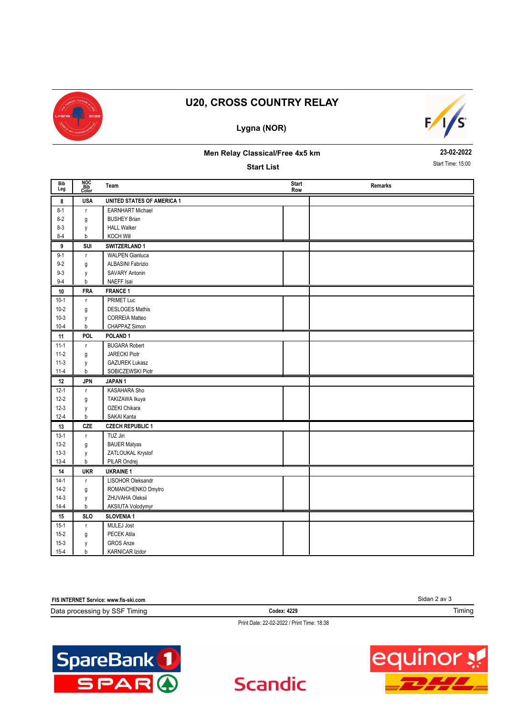

# **U20, CROSS COUNTRY RELAY**

## **Lygna (NOR)**



### **Men Relay Classical/Free 4x5 km**

**Start List**

**23-02-2022** Start Time: 15:00

| <b>Bib</b><br>Leg | NOC<br>Bib<br>Color | Team                              | <b>Start</b><br>Row | Remarks |
|-------------------|---------------------|-----------------------------------|---------------------|---------|
| 8                 | <b>USA</b>          | <b>UNITED STATES OF AMERICA 1</b> |                     |         |
| $8 - 1$           | r                   | <b>EARNHART Michael</b>           |                     |         |
| $8-2$             | g                   | <b>BUSHEY Brian</b>               |                     |         |
| $8 - 3$           | y                   | <b>HALL Walker</b>                |                     |         |
| $8 - 4$           | b                   | <b>KOCH Will</b>                  |                     |         |
| 9                 | SUI                 | SWITZERLAND 1                     |                     |         |
| $9 - 1$           | r                   | <b>WALPEN Gianluca</b>            |                     |         |
| $9 - 2$           | g                   | <b>ALBASINI Fabrizio</b>          |                     |         |
| $9 - 3$           | y                   | <b>SAVARY Antonin</b>             |                     |         |
| $9 - 4$           | b                   | NAEFF Isai                        |                     |         |
| 10                | <b>FRA</b>          | <b>FRANCE 1</b>                   |                     |         |
| $10-1$            | r                   | PRIMET Luc                        |                     |         |
| $10 - 2$          | g                   | <b>DESLOGES Mathis</b>            |                     |         |
| $10-3$            | y                   | <b>CORREIA Matteo</b>             |                     |         |
| $10 - 4$          | $\sf b$             | CHAPPAZ Simon                     |                     |         |
| 11                | POL.                | POLAND <sub>1</sub>               |                     |         |
| $11-1$            | r.                  | <b>BUGARA Robert</b>              |                     |         |
| $11-2$            | g                   | <b>JARECKI Piotr</b>              |                     |         |
| $11-3$            | y                   | <b>GAZUREK Lukasz</b>             |                     |         |
| $11-4$            | $\mathsf b$         | SOBICZEWSKI Piotr                 |                     |         |
| 12                | <b>JPN</b>          | JAPAN <sub>1</sub>                |                     |         |
| $12 - 1$          | r.                  | KASAHARA Sho                      |                     |         |
| $12 - 2$          | g                   | TAKIZAWA Ikuya                    |                     |         |
| $12-3$            | y                   | OZEKI Chikara                     |                     |         |
| $12 - 4$          | b                   | SAKAI Kanta                       |                     |         |
| 13                | <b>CZE</b>          | <b>CZECH REPUBLIC 1</b>           |                     |         |
| $13-1$            | r.                  | TUZ Jiri                          |                     |         |
| $13-2$            | g                   | <b>BAUER Matyas</b>               |                     |         |
| $13-3$            | y                   | ZATLOUKAL Krystof                 |                     |         |
| $13-4$            | b                   | PILAR Ondrej                      |                     |         |
| 14                | <b>UKR</b>          | <b>UKRAINE 1</b>                  |                     |         |
| $14-1$            | r                   | LISOHOR Oleksandr                 |                     |         |
| $14-2$            | g                   | ROMANCHENKO Dmytro                |                     |         |
| $14-3$            | y                   | ZHUVAHA Oleksii                   |                     |         |
| $14 - 4$          | $\mathsf b$         | AKSIUTA Volodymyr                 |                     |         |
| 15                | <b>SLO</b>          | <b>SLOVENIA1</b>                  |                     |         |
| $15-1$            | r                   | MULEJ Jost                        |                     |         |
| $15 - 2$          | g                   | PECEK Atila                       |                     |         |
| $15-3$            | y                   | <b>GROS Anze</b>                  |                     |         |
| $15 - 4$          | b                   | <b>KARNICAR Izidor</b>            |                     |         |

| FIS INTERNET Service: www.fis-ski.com | Sidan 2 av 3                               |        |
|---------------------------------------|--------------------------------------------|--------|
| Data processing by SSF Timing         | Codex: 4229                                | Timing |
|                                       | Print Date: 22-02-2022 / Print Time: 18:38 |        |

**Scandic**